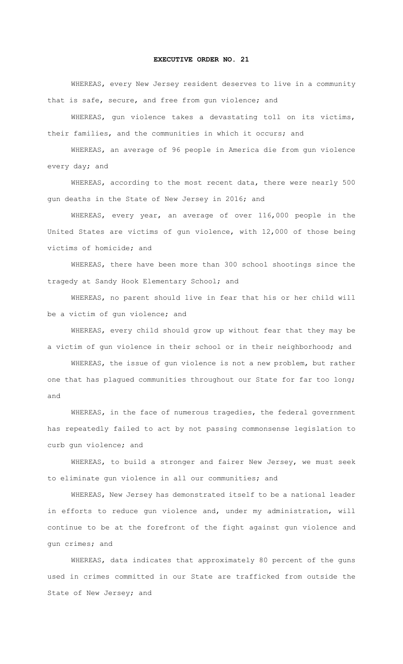## **EXECUTIVE ORDER NO. 21**

WHEREAS, every New Jersey resident deserves to live in a community that is safe, secure, and free from gun violence; and

WHEREAS, gun violence takes a devastating toll on its victims, their families, and the communities in which it occurs; and

WHEREAS, an average of 96 people in America die from gun violence every day; and

WHEREAS, according to the most recent data, there were nearly 500 gun deaths in the State of New Jersey in 2016; and

WHEREAS, every year, an average of over 116,000 people in the United States are victims of gun violence, with 12,000 of those being victims of homicide; and

WHEREAS, there have been more than 300 school shootings since the tragedy at Sandy Hook Elementary School; and

WHEREAS, no parent should live in fear that his or her child will be a victim of gun violence; and

WHEREAS, every child should grow up without fear that they may be a victim of gun violence in their school or in their neighborhood; and

WHEREAS, the issue of gun violence is not a new problem, but rather one that has plagued communities throughout our State for far too long; and

WHEREAS, in the face of numerous tragedies, the federal government has repeatedly failed to act by not passing commonsense legislation to curb gun violence; and

WHEREAS, to build a stronger and fairer New Jersey, we must seek to eliminate gun violence in all our communities; and

WHEREAS, New Jersey has demonstrated itself to be a national leader in efforts to reduce gun violence and, under my administration, will continue to be at the forefront of the fight against gun violence and gun crimes; and

WHEREAS, data indicates that approximately 80 percent of the guns used in crimes committed in our State are trafficked from outside the State of New Jersey; and